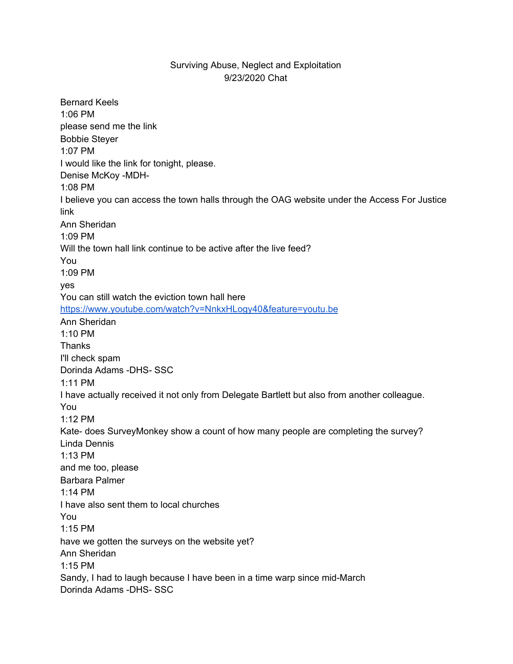## Surviving Abuse, Neglect and Exploitation 9/23/2020 Chat

Bernard Keels 1:06 PM please send me the link Bobbie Steyer 1:07 PM I would like the link for tonight, please. Denise McKoy -MDH-1:08 PM I believe you can access the town halls through the OAG website under the Access For Justice link Ann Sheridan 1:09 PM Will the town hall link continue to be active after the live feed? You 1:09 PM yes You can still watch the eviction town hall her[e](https://meet.google.com/linkredirect?authuser=2&dest=https%3A%2F%2Fwww.youtube.com%2Fwatch%3Fv%3DNnkxHLogy40%26feature%3Dyoutu.be) [https://www.youtube.com/watch?v=NnkxHLogy40&feature=youtu.be](https://meet.google.com/linkredirect?authuser=2&dest=https%3A%2F%2Fwww.youtube.com%2Fwatch%3Fv%3DNnkxHLogy40%26feature%3Dyoutu.be) Ann Sheridan 1:10 PM **Thanks** I'll check spam Dorinda Adams -DHS- SSC 1:11 PM I have actually received it not only from Delegate Bartlett but also from another colleague. You 1:12 PM Kate- does SurveyMonkey show a count of how many people are completing the survey? Linda Dennis 1:13 PM and me too, please Barbara Palmer 1:14 PM I have also sent them to local churches You 1:15 PM have we gotten the surveys on the website yet? Ann Sheridan 1:15 PM Sandy, I had to laugh because I have been in a time warp since mid-March Dorinda Adams -DHS- SSC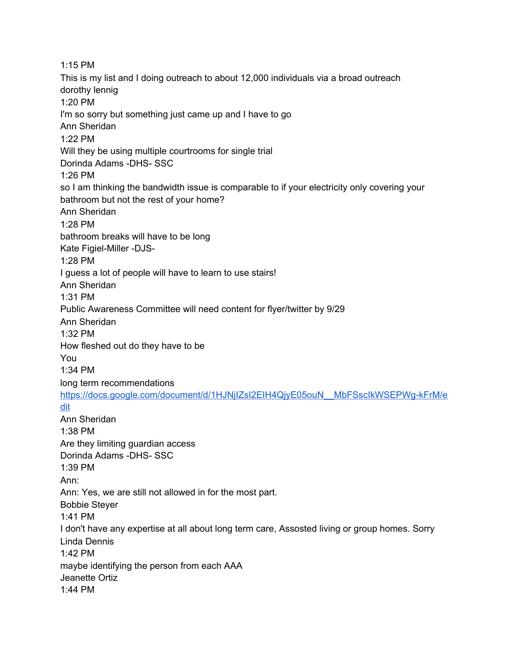1:15 PM This is my list and I doing outreach to about 12,000 individuals via a broad outreach dorothy lennig 1:20 PM I'm so sorry but something just came up and I have to go Ann Sheridan 1:22 PM Will they be using multiple courtrooms for single trial Dorinda Adams -DHS- SSC 1:26 PM so I am thinking the bandwidth issue is comparable to if your electricity only covering your bathroom but not the rest of your home? Ann Sheridan 1:28 PM bathroom breaks will have to be long Kate Figiel-Miller -DJS-1:28 PM I guess a lot of people will have to learn to use stairs! Ann Sheridan 1:31 PM Public Awareness Committee will need content for flyer/twitter by 9/29 Ann Sheridan 1:32 PM How fleshed out do they have to be You 1:34 PM long term recommendation[s](https://meet.google.com/linkredirect?authuser=2&dest=https%3A%2F%2Fdocs.google.com%2Fdocument%2Fd%2F1HJNjIZsI2EIH4QjyE05ouN__MbFSscIkWSEPWg-kFrM%2Fedit) [https://docs.google.com/document/d/1HJNjIZsI2EIH4QjyE05ouN\\_\\_MbFSscIkWSEPWg-kFrM/e](https://meet.google.com/linkredirect?authuser=2&dest=https%3A%2F%2Fdocs.google.com%2Fdocument%2Fd%2F1HJNjIZsI2EIH4QjyE05ouN__MbFSscIkWSEPWg-kFrM%2Fedit) [dit](https://meet.google.com/linkredirect?authuser=2&dest=https%3A%2F%2Fdocs.google.com%2Fdocument%2Fd%2F1HJNjIZsI2EIH4QjyE05ouN__MbFSscIkWSEPWg-kFrM%2Fedit) Ann Sheridan 1:38 PM Are they limiting guardian access Dorinda Adams -DHS- SSC 1:39 PM Ann: Ann: Yes, we are still not allowed in for the most part. Bobbie Steyer 1:41 PM I don't have any expertise at all about long term care, Assosted living or group homes. Sorry Linda Dennis 1:42 PM maybe identifying the person from each AAA Jeanette Ortiz 1:44 PM